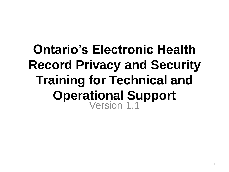### **Ontario's Electronic Health Record Privacy and Security Training for Technical and Operational Support** Version 1.1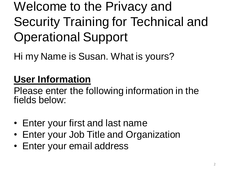Welcome to the Privacy and Security Training for Technical and Operational Support

Hi my Name is Susan. What is yours?

### **User Information**

Please enter the following information in the fields below:

- Enter your first and last name
- Enter your Job Title and Organization
- Enter your email address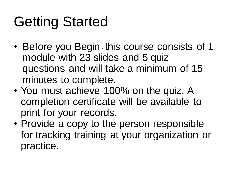## Getting Started

- Before you Begin this course consists of 1 module with 23 slides and 5 quiz questions and will take a minimum of 15 minutes to complete.
- You must achieve 100% on the quiz. A completion certificate will be available to print for your records.
- Provide a copy to the person responsible for tracking training at your organization or practice.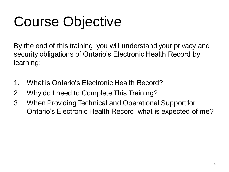## Course Objective

By the end of this training, you will understand your privacy and security obligations of Ontario's Electronic Health Record by learning:

- 1. What is Ontario's Electronic Health Record?
- 2. Why do I need to Complete This Training?
- 3. When Providing Technical and Operational Support for Ontario's Electronic Health Record, what is expected of me?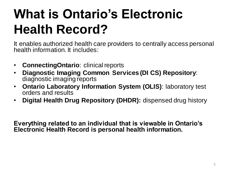## **What is Ontario's Electronic Health Record?**

It enables authorized health care providers to centrally access personal health information. It includes:

- **ConnectingOntario**: clinical reports
- **Diagnostic Imaging Common Services (DI CS) Repository**: diagnostic imaging reports
- **Ontario Laboratory Information System (OLIS)**: laboratory test orders and results
- **Digital Health Drug Repository (DHDR):** dispensed drug history

**Everything related to an individual that is viewable in Ontario's Electronic Health Record is personal health information.**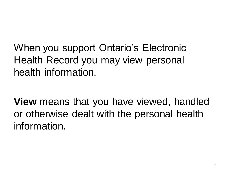When you support Ontario's Electronic Health Record you may view personal health information.

**View** means that you have viewed, handled or otherwise dealt with the personal health information.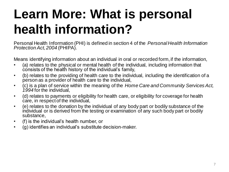## **Learn More: What is personal health information?**

Personal Health Information (PHI) is defined in section 4 of the *Personal Health Information Protection Act, 2004* (PHIPA).

Means identifying information about an individual in oral or recorded form, if the information,

- (a) relates to the physical or mental health of the individual, including information that consists of the health history of the individual's family,
- (b) relates to the providing of health care to the individual, including the identification of a person as a provider of health care to the individual,
- (c) is a plan of service within the meaning of the *Home Care and Community Services Act, 1994* for the individual,
- (d) relates to payments or eligibility for health care, or eligibility for coverage for health care, in respect of the individual,
- (e) relates to the donation by the individual of any body part or bodily substance of the individual or is derived from the testing or examination of any such body part or bodily substance,
- (f) is the individual's health number, or
- (g) identifies an individual's substitute decision-maker.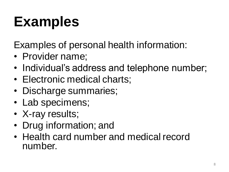## **Examples**

Examples of personal health information:

- Provider name;
- Individual's address and telephone number;
- Electronic medical charts;
- Discharge summaries;
- Lab specimens;
- X-ray results;
- Drug information; and
- Health card number and medical record number.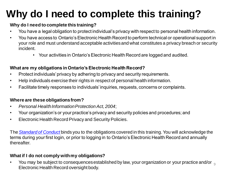### **Why do I need to complete this training?**

### **Why do I need to complete this training?**

- You have a legal obligation to protect individual's privacy with respect to personal health information.
- You have access to Ontario's Electronic Health Record to perform technical or operational support in your role and must understand acceptable activities and what constitutes a privacy breach or security incident.
	- Your activities in Ontario's Electronic Health Record are logged and audited.

#### **What are my obligations in Ontario's Electronic Health Record?**

- Protect individuals' privacy by adhering to privacy and security requirements.
- Help individuals exercise their rights in respect of personal health information.
- Facilitate timely responses to individuals' inquiries, requests, concerns or complaints.

#### **Where are these obligations from?**

- *Personal Health Information Protection Act, 2004*;
- Your organization's or your practice's privacy and security policies and procedures; and
- Electronic Health Record Privacy and Security Policies.

The *[Standard of Conduct](http://emerge/spaces/privacy/Documents/Privacy%20and%20Security%20Standard%20of%20Conduct.pdf)* binds you to the obligations covered in this training. You will acknowledge the terms during your first login, or prior to logging in to Ontario's Electronic Health Record and annually thereafter.

#### **What if I do not comply with my obligations?**

• You may be subject to consequences established by law, your organization or your practice and/or  $\frac{1}{9}$ Electronic Health Record oversight body.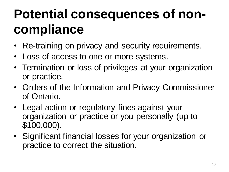## **Potential consequences of noncompliance**

- Re-training on privacy and security requirements.
- Loss of access to one or more systems.
- Termination or loss of privileges at your organization or practice.
- Orders of the Information and Privacy Commissioner of Ontario.
- Legal action or regulatory fines against your organization or practice or you personally (up to \$100,000).
- Significant financial losses for your organization or practice to correct the situation.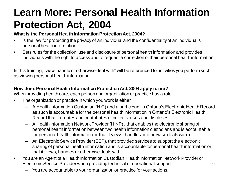### **Learn More: Personal Health Information Protection Act, 2004**

#### **What is the Personal Health Information Protection Act, 2004?**

- Is the law for protecting the privacy of an individual and the confidentiality of an individual's personal health information.
- Sets rules for the collection, use and disclosure of personal health information and provides individuals with the right to access and to request a correction of their personal health information.

In this training, "view, handle or otherwise deal with" will be referenced to activities you perform such as viewing personal health information.

#### **How does Personal Health Information Protection Act, 2004 apply to me?**

When providing health care, each person and organization or practice has a role :

- The organization or practice in which you work is either
	- A Health Information Custodian (HIC) and a participant in Ontario's Electronic Health Record as such is accountable for the personal health information in Ontario's Electronic Health Record that it creates and contributes or collects, uses and discloses;
	- A Health Information Network Provider (HINP) , that enables the electronic sharing of personal health information between two health information custodians and is accountable for personal health information or that it views, handles or otherwise deals with; or
	- An Electronic Service Provider (ESP), that provided services to support the electronic sharing of personal health information and is accountable for personal health information or that it views, handles or otherwise deals with.
- You are an Agent of a Health Information Custodian, Health Information Network Provider or Electronic Service Provider when providing technical or operational support
	- You are accountable to your organization or practice for your actions.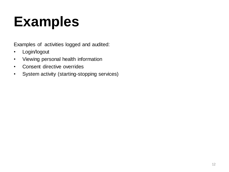## **Examples**

Examples of activities logged and audited:

- Login/logout
- Viewing personal health information
- Consent directive overrides
- System activity (starting-stopping services)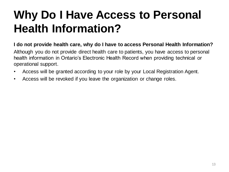### **Why Do I Have Access to Personal Health Information?**

### **I do not provide health care, why do I have to access Personal Health Information?**

Although you do not provide direct health care to patients, you have access to personal health information in Ontario's Electronic Health Record when providing technical or operational support.

- Access will be granted according to your role by your Local Registration Agent.
- Access will be revoked if you leave the organization or change roles.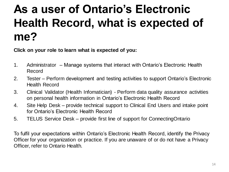### **As a user of Ontario's Electronic Health Record, what is expected of me?**

**Click on your role to learn what is expected of you:**

- 1. Administrator Manage systems that interact with Ontario's Electronic Health Record
- 2. Tester Perform development and testing activities to support Ontario's Electronic Health Record
- 3. Clinical Validator (Health Infomatician) Perform data quality assurance activities on personal health information in Ontario's Electronic Health Record
- 4. Site Help Desk provide technical support to Clinical End Users and intake point for Ontario's Electronic Health Record
- 5. TELUS Service Desk provide first line of support for ConnectingOntario

To fulfil your expectations within Ontario's Electronic Health Record, identify the Privacy Officer for your organization or practice. If you are unaware of or do not have a Privacy Officer, refer to Ontario Health.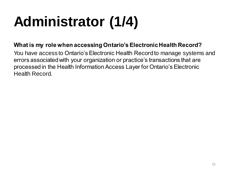# **Administrator (1/4)**

### **What is my role when accessing Ontario's Electronic Health Record?**

You have access to Ontario's Electronic Health Record to manage systems and errors associated with your organization or practice's transactions that are processed in the Health Information Access Layer for Ontario's Electronic Health Record.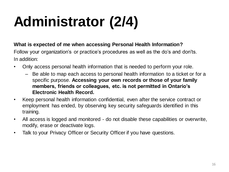# **Administrator (2/4)**

### **What is expected of me when accessing Personal Health Information?**

Follow your organization's or practice's procedures as well as the do's and don'ts. In addition:

- Only access personal health information that is needed to perform your role.
	- Be able to map each access to personal health information to a ticket or for a specific purpose. **Accessing your own records or those of your family members, friends or colleagues, etc. is not permitted in Ontario's Electronic Health Record.**
- Keep personal health information confidential, even after the service contract or employment has ended, by observing key security safeguards identified in this training.
- All access is logged and monitored do not disable these capabilities or overwrite, modify, erase or deactivate logs.
- Talk to your Privacy Officer or Security Officer if you have questions.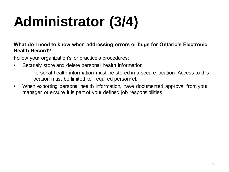# **Administrator (3/4)**

### **What do I need to know when addressing errors or bugs for Ontario's Electronic Health Record?**

Follow your organization's or practice's procedures:

- Securely store and delete personal health information
	- Personal health information must be stored in a secure location. Access to this location must be limited to required personnel.
- When exporting personal health information, have documented approval from your manager or ensure it is part of your defined job responsibilities.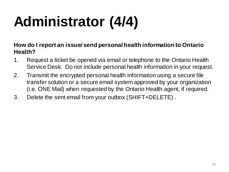# **Administrator (4/4)**

**How do I report an issue/ send personal health information to Ontario Health?**

- 1. Request a ticket be opened via email or telephone to the Ontario Health Service Desk. Do not include personal health information in your request.
- 2. Transmit the encrypted personal health information using a secure file transfer solution or a secure email system approved by your organization (i.e. ONE Mail) when requested by the Ontario Health agent, if required.
- 3. Delete the sent email from your outbox (SHIFT+DELETE) .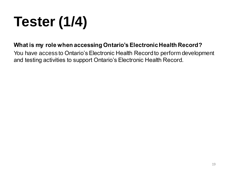# **Tester (1/4)**

### **What is my role when accessing Ontario's Electronic Health Record?**

You have access to Ontario's Electronic Health Record to perform development and testing activities to support Ontario's Electronic Health Record.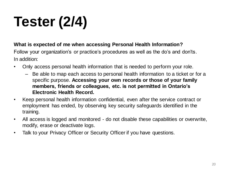# **Tester (2/4)**

### **What is expected of me when accessing Personal Health Information?**

Follow your organization's or practice's procedures as well as the do's and don'ts. In addition:

- Only access personal health information that is needed to perform your role.
	- Be able to map each access to personal health information to a ticket or for a specific purpose. **Accessing your own records or those of your family members, friends or colleagues, etc. is not permitted in Ontario's Electronic Health Record.**
- Keep personal health information confidential, even after the service contract or employment has ended, by observing key security safeguards identified in the training.
- All access is logged and monitored do not disable these capabilities or overwrite, modify, erase or deactivate logs.
- Talk to your Privacy Officer or Security Officer if you have questions.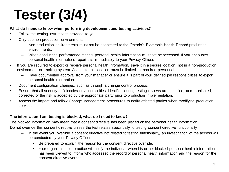## **Tester (3/4)**

#### **What do I need to know when performing development and testing activities?**

- Follow the testing instructions provided to you.
- Only use non-production environments.
	- Non-production environments must not be connected to the Ontario's Electronic Health Record production environments.
	- When conducting performance testing, personal health information must not be accessed. If you encounter personal health information, report this immediately to your Privacy Officer.
- If you are required to export or receive personal health information, save it in a secure location, not in a non-production environment or tracking system. Access to this location must be limited to required personnel.
	- Have documented approval from your manager or ensure it is part of your defined job responsibilities to export personal health information.
- Document configuration changes, such as through a change control process.
- Ensure that all security deficiencies or vulnerabilities identified during testing reviews are identified, communicated, corrected or the risk is accepted by the appropriate party prior to production implementation.
- Assess the impact and follow Change Management procedures to notify affected parties when modifying production services.

#### **The information I am testing is blocked, what do I need to know?**

The blocked information may mean that a consent directive has been placed on the personal health information. Do not override this consent directive unless the test relates specifically to testing consent directive functionality.

- In the event you override a consent directive not related to testing functionality, an investigation of the access will be conducted by your Privacy Officer.
	- Be prepared to explain the reason for the consent directive override.
	- Your organization or practice will notify the individual when his or her blocked personal health information has been viewed to inform who accessed the record of personal health information and the reason for the consent directive override.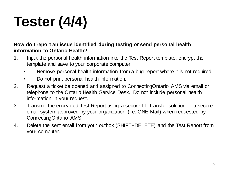# **Tester (4/4)**

**How do I report an issue identified during testing or send personal health information to Ontario Health?**

- 1. Input the personal health information into the Test Report template, encrypt the template and save to your corporate computer.
	- Remove personal health information from a bug report where it is not required.
	- Do not print personal health information.
- 2. Request a ticket be opened and assigned to ConnectingOntario AMS via email or telephone to the Ontario Health Service Desk. Do not include personal health information in your request.
- 3. Transmit the encrypted Test Report using a secure file transfer solution or a secure email system approved by your organization (i.e. ONE Mail) when requested by ConnectingOntario AMS.
- 4. Delete the sent email from your outbox (SHIFT+DELETE) and the Test Report from your computer.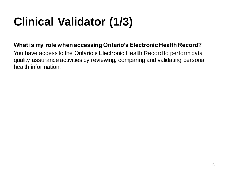## **Clinical Validator (1/3)**

### **What is my role when accessing Ontario's Electronic Health Record?**

You have access to the Ontario's Electronic Health Record to perform data quality assurance activities by reviewing, comparing and validating personal health information.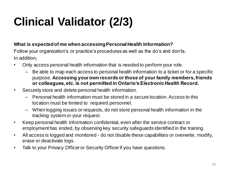## **Clinical Validator (2/3)**

### **What is expected of me when accessing Personal Health Information?**

Follow your organization's or practice's procedures as well as the do's and don'ts. In addition,

- Only access personal health information that is needed to perform your role.
	- Be able to map each access to personal health information to a ticket or for a specific purpose.**Accessing your own records or those of your family members, friends or colleagues, etc. is not permitted in Ontario's Electronic Health Record.**
- Securely store and delete personal health information.
	- Personal health information must be stored in a secure location. Access to this location must be limited to required personnel.
	- When logging issues or requests, do not store personal health information in the tracking system or your request.
- Keep personal health information confidential, even after the service contract or employment has ended, by observing key security safeguards identified in the training.
- All access is logged and monitored do not disable these capabilities or overwrite, modify, erase or deactivate logs.
- Talk to your Privacy Officer or Security Officer if you have questions.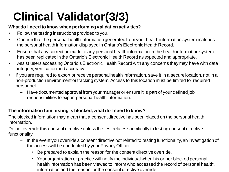## **Clinical Validator(3/3)**

#### **What do I need to know when performing validation activities?**

- Follow the testing instructions provided to you.
- Confirm that the personal health information generated from your health information system matches the personal health information displayed in Ontario's Electronic Health Record.
- Ensure that any correction made to any personal health information in the health information system has been replicated in the Ontario's Electronic Health Record as expected and appropriate.
- Assist users accessing Ontario's Electronic Health Record with any concerns they may have with data integrity, verification and accuracy.
- If you are required to export or receive personal health information, save it in a secure location, not in a non-production environment or tracking system. Access to this location must be limited to required personnel.
	- Have documented approval from your manager or ensure it is part of your defined job responsibilities to export personal health information.

### **The information I am testing is blocked, what do I need to know?**

The blocked information may mean that a consent directive has been placed on the personal health information.

Do not override this consent directive unless the test relates specifically to testing consent directive functionality.

- In the event you override a consent directive not related to testing functionality, an investigation of the access will be conducted by your Privacy Officer.
	- Be prepared to explain the reason for the consent directive override.
	- Your organization or practice will notify the individual when his or her blocked personal health information has been viewed to inform who accessed the record of personal health<sup>55</sup> information and the reason for the consent directive override.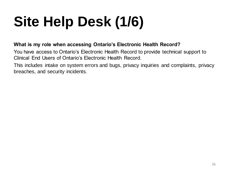# **Site Help Desk (1/6)**

### **What is my role when accessing Ontario's Electronic Health Record?**

You have access to Ontario's Electronic Health Record to provide technical support to Clinical End Users of Ontario's Electronic Health Record.

This includes intake on system errors and bugs, privacy inquiries and complaints, privacy breaches, and security incidents.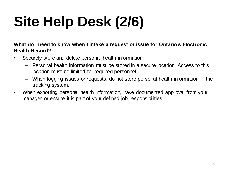# **Site Help Desk (2/6)**

#### **What do I need to know when I intake a request or issue for Ontario's Electronic Health Record?**

- Securely store and delete personal health information
	- Personal health information must be stored in a secure location. Access to this location must be limited to required personnel.
	- When logging issues or requests, do not store personal health information in the tracking system.
- When exporting personal health information, have documented approval from your manager or ensure it is part of your defined job responsibilities.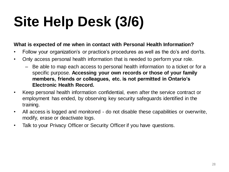# **Site Help Desk (3/6)**

### **What is expected of me when in contact with Personal Health Information?**

- Follow your organization's or practice's procedures as well as the do's and don'ts.
- Only access personal health information that is needed to perform your role.
	- Be able to map each access to personal health information to a ticket or for a specific purpose. **Accessing your own records or those of your family members, friends or colleagues, etc. is not permitted in Ontario's Electronic Health Record.**
- Keep personal health information confidential, even after the service contract or employment has ended, by observing key security safeguards identified in the training.
- All access is logged and monitored do not disable these capabilities or overwrite, modify, erase or deactivate logs.
- Talk to your Privacy Officer or Security Officer if you have questions.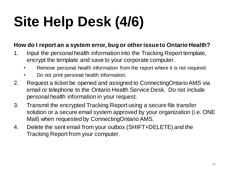# **Site Help Desk (4/6)**

### **How do I report an a system error, bug or other issue to Ontario Health?**

- 1. Input the personal health information into the Tracking Report template, encrypt the template and save to your corporate computer.
	- Remove personal health information from the report where it is not required.
	- Do not print personal health information.
- 2. Request a ticket be opened and assigned to ConnectingOntario AMS via email or telephone to the Ontario Health Service Desk. Do not include personal health information in your request.
- 3. Transmit the encrypted Tracking Report using a secure file transfer solution or a secure email system approved by your organization (i.e. ONE Mail) when requested by ConnectingOntario AMS.
- 4. Delete the sent email from your outbox (SHIFT+DELETE) and the Tracking Report from your computer.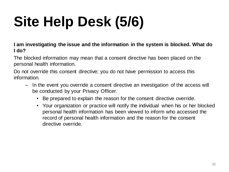# **Site Help Desk (5/6)**

**I am investigating the issue and the information in the system is blocked. What do I do?**

The blocked information may mean that a consent directive has been placed on the personal health information.

Do not override this consent directive; you do not have permission to access this information.

- In the event you override a consent directive an investigation of the access will be conducted by your Privacy Officer.
	- Be prepared to explain the reason for the consent directive override.
	- Your organization or practice will notify the individual when his or her blocked personal health information has been viewed to inform who accessed the record of personal health information and the reason for the consent directive override.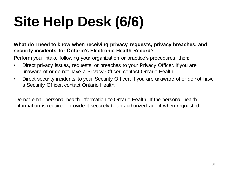# **Site Help Desk (6/6)**

### **What do I need to know when receiving privacy requests, privacy breaches, and security incidents for Ontario's Electronic Health Record?**

Perform your intake following your organization or practice's procedures, then:

- Direct privacy issues, requests or breaches to your Privacy Officer. If you are unaware of or do not have a Privacy Officer, contact Ontario Health.
- Direct security incidents to your Security Officer; If you are unaware of or do not have a Security Officer, contact Ontario Health.

Do not email personal health information to Ontario Health. If the personal health information is required, provide it securely to an authorized agent when requested.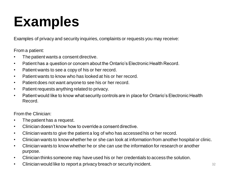## **Examples**

Examples of privacy and security inquiries, complaints or requests you may receive:

From a patient:

- The patient wants a consent directive.
- Patient has a question or concern about the Ontario's Electronic Health Record.
- Patient wants to see a copy of his or her record.
- Patient wants to know who has looked at his or her record.
- Patient does not want anyone to see his or her record.
- Patient requests anything related to privacy.
- Patient would like to know what security controls are in place for Ontario's Electronic Health Record.

From the Clinician:

- The patient has a request.
- Clinician doesn't know how to override a consent directive.
- Clinician wants to give the patient a log of who has accessed his or her record.
- Clinician wants to know whether he or she can look at information from another hospital or clinic.
- Clinician wants to know whether he or she can use the information for research or another purpose.
- Clinician thinks someone may have used his or her credentials to access the solution.
- Clinician would like to report a privacy breach or security incident.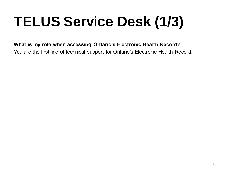# **TELUS Service Desk (1/3)**

### **What is my role when accessing Ontario's Electronic Health Record?**

You are the first line of technical support for Ontario's Electronic Health Record.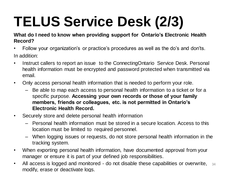## **TELUS Service Desk (2/3)**

### **What do I need to know when providing support for Ontario's Electronic Health Record?**

- Follow your organization's or practice's procedures as well as the do's and don'ts. In addition:
- Instruct callers to report an issue to the ConnectingOntario Service Desk. Personal health information must be encrypted and password protected when transmitted via email.
- Only access personal health information that is needed to perform your role.
	- Be able to map each access to personal health information to a ticket or for a specific purpose. **Accessing your own records or those of your family members, friends or colleagues, etc. is not permitted in Ontario's Electronic Health Record.**
- Securely store and delete personal health information
	- Personal health information must be stored in a secure location. Access to this location must be limited to required personnel.
	- When logging issues or requests, do not store personal health information in the tracking system.
- When exporting personal health information, have documented approval from your manager or ensure it is part of your defined job responsibilities.
- All access is logged and monitored do not disable these capabilities or overwrite, modify, erase or deactivate logs. 34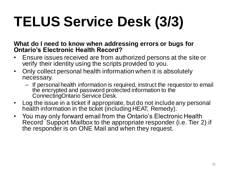# **TELUS Service Desk (3/3)**

**What do I need to know when addressing errors or bugs for Ontario's Electronic Health Record?**

- Ensure issues received are from authorized persons at the site or verify their identity using the scripts provided to you.
- Only collect personal health information when it is absolutely necessary.
	- If personal health information is required, instruct the requestor to email the encrypted and password protected information to the ConnectingOntario Service Desk.
- Log the issue in a ticket if appropriate, but do not include any personal health information in the ticket (including HEAT, Remedy).
- You may only forward email from the Ontario's Electronic Health Record Support Mailbox to the appropriate responder (i.e. Tier 2) if the responder is on ONE Mail and when they request.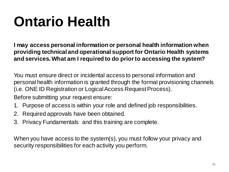## **Ontario Health**

**I may access personal information or personal health information when providing technical and operational support for Ontario Health systems and services. What am I required to do prior to accessing the system?**

You must ensure direct or incidental access to personal information and personal health information is granted through the formal provisioning channels (i.e. ONE ID Registration or Logical Access Request Process).

Before submitting your request ensure:

- 1. Purpose of access is within your role and defined job responsibilities.
- 2. Required approvals have been obtained.
- 3. Privacy Fundamentals and this training are complete.

When you have access to the system(s), you must follow your privacy and security responsibilities for each activity you perform.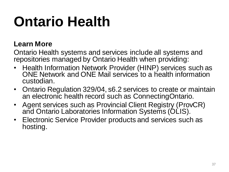## **Ontario Health**

### **Learn More**

Ontario Health systems and services include all systems and repositories managed by Ontario Health when providing:

- Health Information Network Provider (HINP) services such as ONE Network and ONE Mail services to a health information custodian.
- Ontario Regulation 329/04, s6.2 services to create or maintain an electronic health record such as ConnectingOntario.
- Agent services such as Provincial Client Registry (ProvCR) and Ontario Laboratories Information Systems (OLIS).
- Electronic Service Provider products and services such as hosting.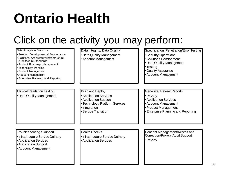## **Ontario Health**

### Click on the activity you may perform:

| Data Analytics/ Statistics<br>· Solution Development & Maintenance<br>· Solutions Architecture/Infrastructure<br>Architecture/Standards<br>· Product Roadmap Management<br>• Technology Planning<br>• Product Management<br>• Account Management<br><b>Enterprise Planning and Reporting</b> | Data Integrity/ Data Quality<br>• Data Quality Management<br>• Account Management                                                                     | Specification,/Penetration/Error Testing<br><b>Security Operations</b><br>·Solutions Development<br>• Data Quality Management<br>• Testing<br>•Quality Assurance<br>• Account Management |
|----------------------------------------------------------------------------------------------------------------------------------------------------------------------------------------------------------------------------------------------------------------------------------------------|-------------------------------------------------------------------------------------------------------------------------------------------------------|------------------------------------------------------------------------------------------------------------------------------------------------------------------------------------------|
|                                                                                                                                                                                                                                                                                              |                                                                                                                                                       |                                                                                                                                                                                          |
| <b>Clinical Validation Testing</b><br>• Data Quality Management                                                                                                                                                                                                                              | <b>Build and Deploy</b><br>• Application Services<br>• Application Support<br>• Technology Platform Services<br>· Integration<br>• Service Transition | Generate/ Review Reports<br>• Privacy<br><b>Application Services</b><br>• Account Management<br>• Product Management<br><b>Enterprise Planning and Reporting</b>                         |
| Troubleshooting / Support<br>• Infrastructure Service Delivery<br><b>Application Services</b><br>• Application Support<br>• Account Management                                                                                                                                               | <b>Health Checks</b><br>• Infrastructure Service Delivery<br>• Application Services                                                                   | Consent Management/Access and<br>Correction/Privacy Audit Support<br>• Privacy                                                                                                           |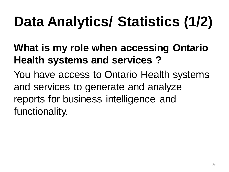# **Data Analytics/ Statistics (1/2)**

### **What is my role when accessing Ontario Health systems and services ?**

You have access to Ontario Health systems and services to generate and analyze reports for business intelligence and functionality.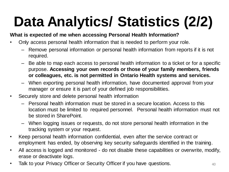# **Data Analytics/ Statistics (2/2)**

### **What is expected of me when accessing Personal Health Information?**

- Only access personal health information that is needed to perform your role.
	- Remove personal information or personal health information from reports if it is not required.
	- Be able to map each access to personal health information to a ticket or for a specific purpose. **Accessing your own records or those of your family members, friends or colleagues, etc. is not permitted in Ontario Health systems and services.**
	- When exporting personal health information, have documented approval from your manager or ensure it is part of your defined job responsibilities.
- Securely store and delete personal health information
	- Personal health information must be stored in a secure location. Access to this location must be limited to required personnel. Personal health information must not be stored in SharePoint.
	- When logging issues or requests, do not store personal health information in the tracking system or your request.
- Keep personal health information confidential, even after the service contract or employment has ended, by observing key security safeguards identified in the training.
- All access is logged and monitored do not disable these capabilities or overwrite, modify, erase or deactivate logs.
- Talk to your Privacy Officer or Security Officer if you have questions.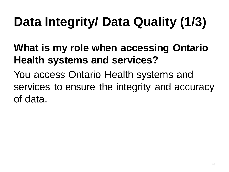## **Data Integrity/ Data Quality (1/3)**

### **What is my role when accessing Ontario Health systems and services?**

You access Ontario Health systems and services to ensure the integrity and accuracy of data.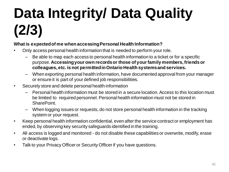# **Data Integrity/ Data Quality (2/3)**

#### **What is expected of me when accessing Personal Health Information?**

- Only access personal health information that is needed to perform your role.
	- Be able to map each access to personal health information to a ticket or for a specific purpose. **Accessing your own records or those of your family members, friends or colleagues, etc. is not permitted in Ontario Health systems and services.**
	- When exporting personal health information, have documented approval from your manager or ensure it is part of your defined job responsibilities.
- Securely store and delete personal health information
	- Personal health information must be stored in a secure location. Access to this location must be limited to required personnel. Personal health information must not be stored in SharePoint.
	- When logging issues or requests, do not store personal health information in the tracking system or your request.
- Keep personal health information confidential, even after the service contract or employment has ended, by observing key security safeguards identified in the training.
- All access is logged and monitored do not disable these capabilities or overwrite, modify, erase or deactivate logs.
- Talk to your Privacy Officer or Security Officer if you have questions.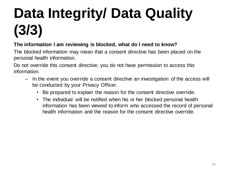# **Data Integrity/ Data Quality (3/3)**

### **The information I am reviewing is blocked, what do I need to know?**

The blocked information may mean that a consent directive has been placed on the personal health information.

Do not override this consent directive; you do not have permission to access this information.

- In the event you override a consent directive an investigation of the access will be conducted by your Privacy Officer.
	- Be prepared to explain the reason for the consent directive override.
	- The individual will be notified when his or her blocked personal health information has been viewed to inform who accessed the record of personal health information and the reason for the consent directive override.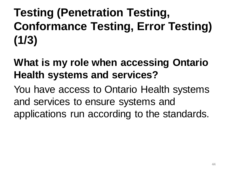### **Testing (Penetration Testing, Conformance Testing, Error Testing) (1/3)**

### **What is my role when accessing Ontario Health systems and services?**

You have access to Ontario Health systems and services to ensure systems and applications run according to the standards.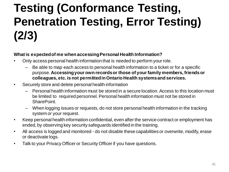### **Testing (Conformance Testing, Penetration Testing, Error Testing) (2/3)**

#### **What is expected of me when accessing Personal Health Information?**

- Only access personal health information that is needed to perform your role.
	- Be able to map each access to personal health information to a ticket or for a specific purpose. **Accessing your own records or those of your family members, friends or colleagues, etc. is not permitted in Ontario Health systems and services.**
- Securely store and delete personal health information
	- Personal health information must be stored in a secure location. Access to this location must be limited to required personnel. Personal health information must not be stored in **SharePoint**
	- When logging issues or requests, do not store personal health information in the tracking system or your request.
- Keep personal health information confidential, even after the service contract or employment has ended, by observing key security safeguards identified in the training.
- All access is logged and monitored do not disable these capabilities or overwrite, modify, erase or deactivate logs.
- Talk to your Privacy Officer or Security Officer if you have questions.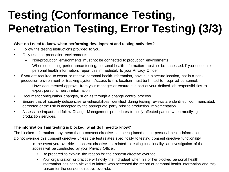### **Testing (Conformance Testing, Penetration Testing, Error Testing) (3/3)**

#### **What do I need to know when performing development and testing activities?**

- Follow the testing instructions provided to you.
- Only use non-production environments.
	- Non-production environments must not be connected to production environments.
	- When conducting performance testing, personal health information must not be accessed. If you encounter personal health information, report this immediately to your Privacy Officer.
- If you are required to export or receive personal health information, save it in a secure location, not in a nonproduction environment or tracking system. Access to this location must be limited to required personnel.
	- Have documented approval from your manager or ensure it is part of your defined job responsibilities to export personal health information.
- Document configuration changes, such as through a change control process.
- Ensure that all security deficiencies or vulnerabilities identified during testing reviews are identified, communicated, corrected or the risk is accepted by the appropriate party prior to production implementation.
- Assess the impact and follow Change Management procedures to notify affected parties when modifying production services.

#### **The information I am testing is blocked, what do I need to know?**

The blocked information may mean that a consent directive has been placed on the personal health information. Do not override this consent directive unless the test relates specifically to testing consent directive functionality.

- In the event you override a consent directive not related to testing functionality, an investigation of the access will be conducted by your Privacy Officer.
	- Be prepared to explain the reason for the consent directive override.
	- Your organization or practice will notify the individual when his or her blocked personal health information has been viewed to inform who accessed the record of personal health information and the reason for the consent directive override.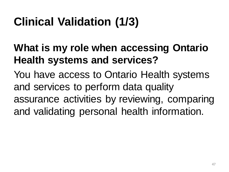### **Clinical Validation (1/3)**

### **What is my role when accessing Ontario Health systems and services?**

You have access to Ontario Health systems and services to perform data quality assurance activities by reviewing, comparing and validating personal health information.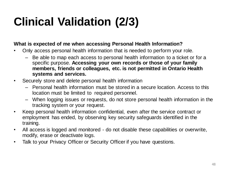### **Clinical Validation (2/3)**

### **What is expected of me when accessing Personal Health Information?**

- Only access personal health information that is needed to perform your role.
	- Be able to map each access to personal health information to a ticket or for a specific purpose. **Accessing your own records or those of your family members, friends or colleagues, etc. is not permitted in Ontario Health systems and services.**
- Securely store and delete personal health information
	- Personal health information must be stored in a secure location. Access to this location must be limited to required personnel.
	- When logging issues or requests, do not store personal health information in the tracking system or your request.
- Keep personal health information confidential, even after the service contract or employment has ended, by observing key security safeguards identified in the training.
- All access is logged and monitored do not disable these capabilities or overwrite, modify, erase or deactivate logs.
- Talk to your Privacy Officer or Security Officer if you have questions.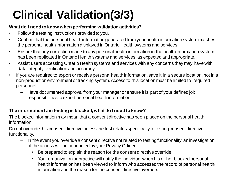## **Clinical Validation(3/3)**

#### **What do I need to know when performing validation activities?**

- Follow the testing instructions provided to you.
- Confirm that the personal health information generated from your health information system matches the personal health information displayed in Ontario Health systems and services.
- Ensure that any correction made to any personal health information in the health information system has been replicated in Ontario Health systems and services as expected and appropriate.
- Assist users accessing Ontario Health systems and services with any concerns they may have with data integrity, verification and accuracy.
- If you are required to export or receive personal health information, save it in a secure location, not in a non-production environment or tracking system. Access to this location must be limited to required personnel.
	- Have documented approval from your manager or ensure it is part of your defined job responsibilities to export personal health information.

### **The information I am testing is blocked, what do I need to know?**

The blocked information may mean that a consent directive has been placed on the personal health information.

Do not override this consent directive unless the test relates specifically to testing consent directive functionality.

- In the event you override a consent directive not related to testing functionality, an investigation of the access will be conducted by your Privacy Officer.
	- Be prepared to explain the reason for the consent directive override.
	- Your organization or practice will notify the individual when his or her blocked personal health information has been viewed to inform who accessed the record of personal health a information and the reason for the consent directive override.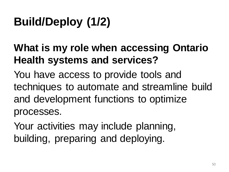## **Build/Deploy (1/2)**

### **What is my role when accessing Ontario Health systems and services?**

You have access to provide tools and techniques to automate and streamline build and development functions to optimize processes.

Your activities may include planning, building, preparing and deploying.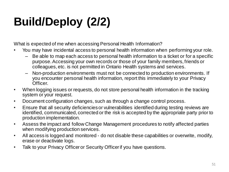## **Build/Deploy (2/2)**

What is expected of me when accessing Personal Health Information?

- You may have incidental access to personal health information when performing your role.
	- Be able to map each access to personal health information to a ticket or for a specific purpose. Accessing your own records or those of your family members, friends or colleagues, etc. is not permitted in Ontario Health systems and services.
	- Non-production environments must not be connected to production environments. If you encounter personal health information, report this immediately to your Privacy Officer.
- When logging issues or requests, do not store personal health information in the tracking system or your request.
- Document configuration changes, such as through a change control process.
- Ensure that all security deficiencies or vulnerabilities identified during testing reviews are identified, communicated, corrected or the risk is accepted by the appropriate party prior to production implementation.
- Assess the impact and follow Change Management procedures to notify affected parties when modifying production services.
- All access is logged and monitored do not disable these capabilities or overwrite, modify, erase or deactivate logs.
- Talk to your Privacy Officer or Security Officer if you have questions.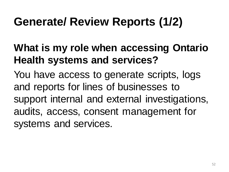### **Generate/ Review Reports (1/2)**

### **What is my role when accessing Ontario Health systems and services?**

You have access to generate scripts, logs and reports for lines of businesses to support internal and external investigations, audits, access, consent management for systems and services.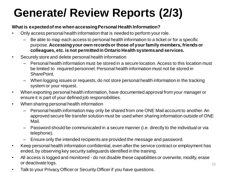### **Generate/ Review Reports (2/3)**

#### **What is expected of me when accessing Personal Health Information?**

- Only access personal health information that is needed to perform your role.
	- Be able to map each access to personal health information to a ticket or for a specific purpose. **Accessing your own records or those of your family members, friends or colleagues, etc. is not permitted in Ontario Health systems and services.**
- Securely store and delete personal health information
	- Personal health information must be stored in a secure location. Access to this location must be limited to required personnel. Personal health information must not be stored in SharePoint.
	- When logging issues or requests, do not store personal health information in the tracking system or your request.
- When exporting personal health information, have documented approval from your manager or ensure it is part of your defined job responsibilities.
- When sharing personal health information
	- Personal health information may only be shared from one ONE Mail account to another. An approved secure file transfer solution must be used when sharing information outside of ONE Mail.
	- Password should be communicated in a secure manner (i.e. directly to the individual or via telephone).
	- Ensure only the intended recipients are provided the message and password.
- Keep personal health information confidential, even after the service contract or employment has ended, by observing key security safeguards identified in the training.
- All access is logged and monitored do not disable these capabilities or overwrite, modify, erase or deactivate logs.
- Talk to your Privacy Officer or Security Officer if you have questions.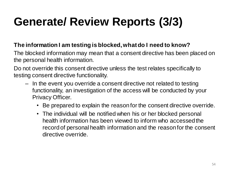### **Generate/ Review Reports (3/3)**

### **The information I am testing is blocked, what do I need to know?**

The blocked information may mean that a consent directive has been placed on the personal health information.

Do not override this consent directive unless the test relates specifically to testing consent directive functionality.

- In the event you override a consent directive not related to testing functionality, an investigation of the access will be conducted by your Privacy Officer.
	- Be prepared to explain the reason for the consent directive override.
	- The individual will be notified when his or her blocked personal health information has been viewed to inform who accessed the record of personal health information and the reason for the consent directive override.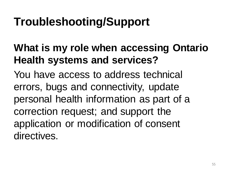### **Troubleshooting/Support**

### **What is my role when accessing Ontario Health systems and services?**

You have access to address technical errors, bugs and connectivity, update personal health information as part of a correction request; and support the application or modification of consent directives.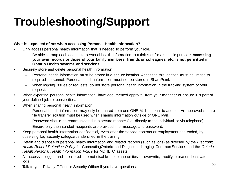### **Troubleshooting/Support**

#### **What is expected of me when accessing Personal Health Information?**

- Only access personal health information that is needed to perform your role.
	- Be able to map each access to personal health information to a ticket or for a specific purpose. **Accessing your own records or those of your family members, friends or colleagues, etc. is not permitted in Ontario Health systems and services.**
- Securely store and delete personal health information
	- Personal health information must be stored in a secure location. Access to this location must be limited to required personnel. Personal health information must not be stored in SharePoint.
	- When logging issues or requests, do not store personal health information in the tracking system or your request.
- When exporting personal health information, have documented approval from your manager or ensure it is part of your defined job responsibilities.
- When sharing personal health information
	- Personal health information may only be shared from one ONE Mail account to another. An approved secure file transfer solution must be used when sharing information outside of ONE Mail.
	- Password should be communicated in a secure manner (i.e. directly to the individual or via telephone).
	- Ensure only the intended recipients are provided the message and password.
- Keep personal health information confidential, even after the service contract or employment has ended, by observing key security safeguards identified in the training.
- Retain and dispose of personal health information and related records (such as logs) as directed by the *Electronic Health Record Retention Policy* for ConnectingOntario and Diagnostic Imaging Common Services and the *Ontario Health Personal Health Information Policy* for MOHLTC assets.
- All access is logged and monitored do not disable these capabilities or overwrite, modify, erase or deactivate logs.
- Talk to your Privacy Officer or Security Officer if you have questions.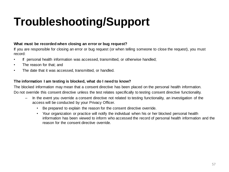### **Troubleshooting/Support**

#### **What must be recorded when closing an error or bug request?**

If you are responsible for closing an error or bug request (or when telling someone to close the request), you must record:

- If personal health information was accessed, transmitted, or otherwise handled;
- The reason for that; and
- The date that it was accessed, transmitted, or handled.

#### **The information I am testing is blocked, what do I need to know?**

The blocked information may mean that a consent directive has been placed on the personal health information. Do not override this consent directive unless the test relates specifically to testing consent directive functionality.

- In the event you override a consent directive not related to testing functionality, an investigation of the access will be conducted by your Privacy Officer.
	- Be prepared to explain the reason for the consent directive override.
	- Your organization or practice will notify the individual when his or her blocked personal health information has been viewed to inform who accessed the record of personal health information and the reason for the consent directive override.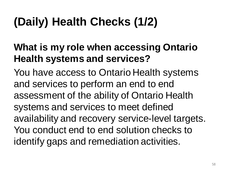## **(Daily) Health Checks (1/2)**

### **What is my role when accessing Ontario Health systems and services?**

You have access to Ontario Health systems and services to perform an end to end assessment of the ability of Ontario Health systems and services to meet defined availability and recovery service-level targets. You conduct end to end solution checks to identify gaps and remediation activities.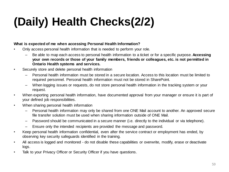## **(Daily) Health Checks(2/2)**

#### **What is expected of me when accessing Personal Health Information?**

- Only access personal health information that is needed to perform your role.
	- Be able to map each access to personal health information to a ticket or for a specific purpose. **Accessing your own records or those of your family members, friends or colleagues, etc. is not permitted in Ontario Health systems and services.**
- Securely store and delete personal health information
	- Personal health information must be stored in a secure location. Access to this location must be limited to required personnel. Personal health information must not be stored in SharePoint.
	- When logging issues or requests, do not store personal health information in the tracking system or your request.
- When exporting personal health information, have documented approval from your manager or ensure it is part of your defined job responsibilities.
- When sharing personal health information
	- Personal health information may only be shared from one ONE Mail account to another. An approved secure file transfer solution must be used when sharing information outside of ONE Mail.
	- Password should be communicated in a secure manner (i.e. directly to the individual or via telephone).
	- Ensure only the intended recipients are provided the message and password.
- Keep personal health information confidential, even after the service contract or employment has ended, by observing key security safeguards identified in the training.
- All access is logged and monitored do not disable these capabilities or overwrite, modify, erase or deactivate logs.
- Talk to your Privacy Officer or Security Officer if you have questions.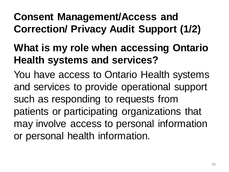### **Consent Management/Access and Correction/ Privacy Audit Support (1/2)**

### **What is my role when accessing Ontario Health systems and services?**

You have access to Ontario Health systems and services to provide operational support such as responding to requests from patients or participating organizations that may involve access to personal information or personal health information.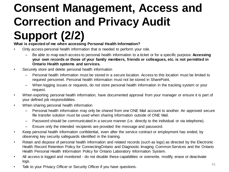## **Consent Management, Access and Correction and Privacy Audit**

### **Support (2/2)**

**What is expected of me when accessing Personal Health Information?**

- Only access personal health information that is needed to perform your role.
	- Be able to map each access to personal health information to a ticket or for a specific purpose. **Accessing your own records or those of your family members, friends or colleagues, etc. is not permitted in Ontario Health systems and services.**
- Securely store and delete personal health information
	- Personal health information must be stored in a secure location. Access to this location must be limited to required personnel. Personal health information must not be stored in SharePoint.
	- When logging issues or requests, do not store personal health information in the tracking system or your request.
- When exporting personal health information, have documented approval from your manager or ensure it is part of your defined job responsibilities.
- When sharing personal health information
	- Personal health information may only be shared from one ONE Mail account to another. An approved secure file transfer solution must be used when sharing information outside of ONE Mail.
	- Password should be communicated in a secure manner (i.e. directly to the individual or via telephone).
	- Ensure only the intended recipients are provided the message and password.
- Keep personal health information confidential, even after the service contract or employment has ended, by observing key security safeguards identified in the training.
- Retain and dispose of personal health information and related records (such as logs) as directed by the Electronic Health Record Retention Policy for ConnectingOntario and Diagnostic Imaging Common Services and the Ontario Health Personal Health Information Policy for Ontario Laboratory Information System.
- All access is logged and monitored do not disable these capabilities or overwrite, modify, erase or deactivate logs.
- Talk to your Privacy Officer or Security Officer if you have questions.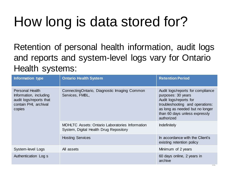## How long is data stored for?

Retention of personal health information, audit logs and reports and system-level logs vary for Ontario Health systems:

| Information type                                                                                               | <b>Ontario Health System</b>                                                                     | <b>Retention Period</b>                                                                                                                                                                                |
|----------------------------------------------------------------------------------------------------------------|--------------------------------------------------------------------------------------------------|--------------------------------------------------------------------------------------------------------------------------------------------------------------------------------------------------------|
| <b>Personal Health</b><br>Information, including<br>audit logs/reports that<br>contain PHI, archival<br>copies | ConnectingOntario, Diagnostic Imaging Common<br>Services, FMBL,                                  | Audit logs/reports for compliance<br>purposes: 30 years<br>Audit logs/reports for<br>troubleshooting and operations:<br>as long as needed but no longer<br>than 60 days unless expressly<br>authorized |
|                                                                                                                | <b>MOHLTC</b> Assets: Ontario Laboratories Information<br>System, Digital Health Drug Repository | <b>Indefinitely</b>                                                                                                                                                                                    |
|                                                                                                                | <b>Hosting Services</b>                                                                          | In accordance with the Client's<br>existing retention policy                                                                                                                                           |
| System-level Logs                                                                                              | All assets                                                                                       | Minimum of 2 years                                                                                                                                                                                     |
| Authentication Log s                                                                                           |                                                                                                  | 60 days online, 2 years in<br>archive                                                                                                                                                                  |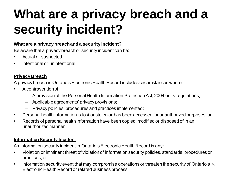## **What are a privacy breach and a security incident?**

#### **What are a privacy breach and a security incident?**

Be aware that a privacy breach or security incident can be:

- Actual or suspected.
- Intentional or unintentional.

#### **Privacy Breach**

A privacy breach in Ontario's Electronic Health Record includes circumstances where:

- A contravention of :
	- A provision of the Personal Health Information Protection Act, 2004 or its regulations;
	- Applicable agreements' privacy provisions;
	- Privacy policies, procedures and practices implemented;
- Personal health information is lost or stolen or has been accessed for unauthorized purposes; or
- Records of personal health information have been copied, modified or disposed of in an unauthorized manner.

#### **Information Security Incident**

An information security incident in Ontario's Electronic Health Record is any:

- Violation or imminent threat of violation of information security policies, standards, procedures or practices; or
- Information security event that may compromise operations or threaten the security of Ontario's 63 Electronic Health Record or related business process.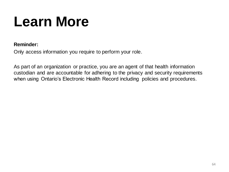## **Learn More**

#### **Reminder:**

Only access information you require to perform your role.

As part of an organization or practice, you are an agent of that health information custodian and are accountable for adhering to the privacy and security requirements when using Ontario's Electronic Health Record including policies and procedures.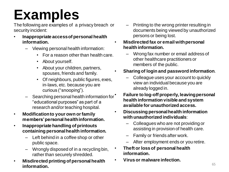## **Examples**

The following are examples of a privacy breach or security incident:

- **Inappropriate access of personal health information.** 
	- Viewing personal health information:
		- For a reason other than health care.
		- About yourself.
		- About your children, partners, spouses, friends and family.
		- Of neighbours, public figures, exes, in-laws, etc. because you are curious ("snooping").
	- Searching personal health information for "educational purposes" as part of a research and/or teaching hospital.
- **Modification to your own or family members' personal health information.**
- **Inappropriate handling of printouts containing personal health information.**
	- Left behind in a coffee shop or other public space.
	- Wrongly disposed of in a recycling bin, rather than securely shredded.
- **Misdirected printing of personal health information.**
- Printing to the wrong printer resulting in documents being viewed by unauthorized persons or being lost.
- **Misdirected fax or email with personal health information.**
	- Wrong fax number or email address of other healthcare practitioners or members of the public.
	- **Sharing of login and password information**.
		- Colleague uses your account to quickly view an individual because you are already logged in.
		- **Failure to log-off properly, leaving personal health information visible and system available for unauthorized access.**
- **Discussing personal health information with unauthorized individuals**:
	- Colleagues who are not providing or assisting in provision of health care.
	- Family or friends after work.
	- After employment ends or you retire.
- **Theft or loss of personal health information.**
- **Virus or malware infection.**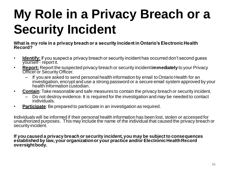## **My Role in a Privacy Breach or a Security Incident**

**What is my role in a privacy breach or a security incident in Ontario's Electronic Health Record?**

- **Identify:** If you suspect a privacy breach or security incident has occurred don't second guess yourself - report it.
- **Report:** Report the suspected privacy breach or security incident **immediately** to your Privacy **Officer or Security Officer.** 
	- If you are asked to send personal health information by email to Ontario Health for an investigation, encrypt and use a strong password or a secure email system approved by your health information custodian.
- **Contain**: Take reasonable and safe measures to contain the privacy breach or security incident.
	- Do not destroy evidence. It is required for the investigation and may be needed to contact individuals.
- **Participate**: Be prepared to participate in an investigation as required.

Individuals will be informed if their personal health information has been lost, stolen or accessed for unauthorized purposes. This may include the name of the individual that caused the privacy breach or security incident.

**If you caused a privacy breach or security incident, you may be subject to consequences established by law, your organization or your practice and/or Electronic Health Record oversight body.**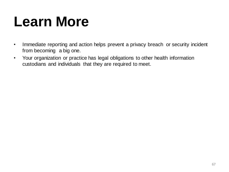## **Learn More**

- Immediate reporting and action helps prevent a privacy breach or security incident from becoming a big one.
- Your organization or practice has legal obligations to other health information custodians and individuals that they are required to meet.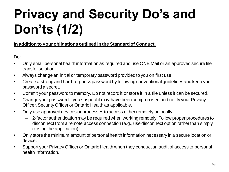## **Privacy and Security Do's and Don'ts (1/2)**

### **In addition to your obligations outlined in the Standard of Conduct,**

Do:

- Only email personal health information as required and use ONE Mail or an approved secure file transfer solution.
- Always change an initial or temporary password provided to you on first use.
- Create a strong and hard-to-guess password by following conventional guidelines and keep your password a secret.
- Commit your password to memory. Do not record it or store it in a file unless it can be secured.
- Change your password if you suspect it may have been compromised and notify your Privacy Officer, Security Officer or Ontario Health as applicable.
- Only use approved devices or processes to access either remotely or locally.
	- 2-factor authentication may be required when working remotely. Follow proper procedures to disconnect from a remote access connection (e.g., use disconnect option rather than simply closing the application).
- Only store the minimum amount of personal health information necessary in a secure location or device.
- Support your Privacy Officer or Ontario Health when they conduct an audit of access to personal health information.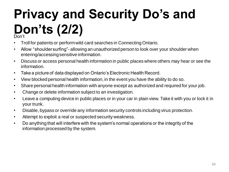### **Privacy and Security Do's and Don'ts (2/2)** Don't

- Troll for patients or perform wild card searches in Connecting Ontario.
- Allow "shoulder surfing"- allowing an unauthorized person to look over your shoulder when entering/accessing sensitive information.
- Discuss or access personal health information in public places where others may hear or see the information.
- Take a picture of data displayed on Ontario's Electronic Health Record.
- View blocked personal health information, in the event you have the ability to do so.
- Share personal health information with anyone except as authorized and required for your job.
- Change or delete information subject to an investigation.
- Leave a computing device in public places or in your car in plain view. Take it with you or lock it in your trunk.
- Disable, bypass or override any information security controls including virus protection.
- Attempt to exploit a real or suspected security weakness.
- Do anything that will interfere with the system's normal operations or the integrity of the information processed by the system.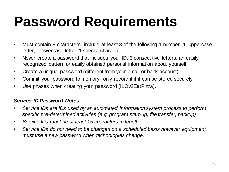## **Password Requirements**

- Must contain 8 characters- include at least 3 of the following 1 number, 1 uppercase letter, 1 lowercase letter, 1 special character.
- Never create a password that includes your ID, 3 consecutive letters, an easily recognized pattern or easily obtained personal information about yourself.
- Create a unique password (different from your email or bank account).
- Commit your password to memory- only record it if it can be stored securely.
- Use phases when creating your password (ILOv2EatPizza).

### *Service ID Password Notes*

- *Service IDs are IDs used by an automated information system process to perform specific pre-determined activities (e.g. program start-up, file transfer, backup)*
- *Service IDs must be at least 15 characters in length*
- *Service IDs do not need to be changed on a scheduled basis however equipment must use a new password when technologies change.*